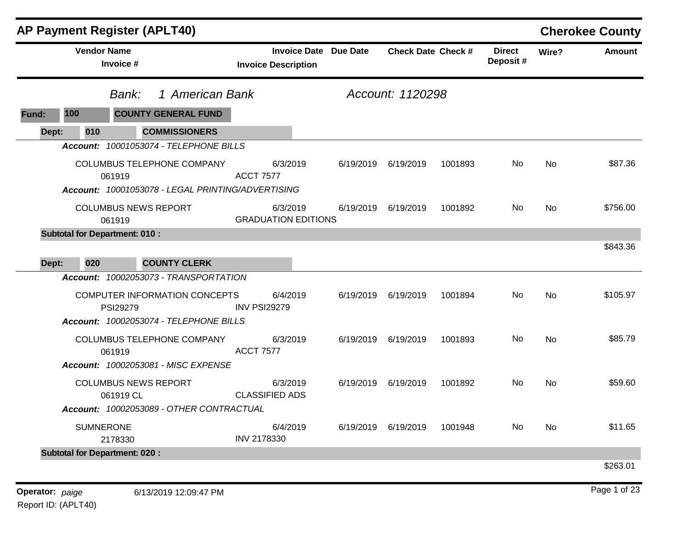|                                      |                                 | <b>AP Payment Register (APLT40)</b>                                             |                            |                     |           |                           |         |                           |                | <b>Cherokee County</b> |
|--------------------------------------|---------------------------------|---------------------------------------------------------------------------------|----------------------------|---------------------|-----------|---------------------------|---------|---------------------------|----------------|------------------------|
|                                      | <b>Vendor Name</b><br>Invoice # |                                                                                 | <b>Invoice Description</b> | <b>Invoice Date</b> | Due Date  | <b>Check Date Check #</b> |         | <b>Direct</b><br>Deposit# | Wire?          | <b>Amount</b>          |
|                                      | Bank:                           | 1 American Bank                                                                 |                            |                     |           | Account: 1120298          |         |                           |                |                        |
| 100<br>Fund:                         |                                 | <b>COUNTY GENERAL FUND</b>                                                      |                            |                     |           |                           |         |                           |                |                        |
| Dept:                                | 010                             | <b>COMMISSIONERS</b>                                                            |                            |                     |           |                           |         |                           |                |                        |
|                                      |                                 | Account: 10001053074 - TELEPHONE BILLS                                          |                            |                     |           |                           |         |                           |                |                        |
|                                      | 061919                          | COLUMBUS TELEPHONE COMPANY<br>Account: 10001053078 - LEGAL PRINTING/ADVERTISING | <b>ACCT 7577</b>           | 6/3/2019            | 6/19/2019 | 6/19/2019                 | 1001893 | <b>No</b>                 | <b>No</b>      | \$87.36                |
|                                      | 061919                          | <b>COLUMBUS NEWS REPORT</b>                                                     | <b>GRADUATION EDITIONS</b> | 6/3/2019            | 6/19/2019 | 6/19/2019                 | 1001892 | No.                       | No             | \$756.00               |
| <b>Subtotal for Department: 010:</b> |                                 |                                                                                 |                            |                     |           |                           |         |                           |                |                        |
| Dept:                                | 020                             | <b>COUNTY CLERK</b>                                                             |                            |                     |           |                           |         |                           |                | \$843.36               |
|                                      |                                 | Account: 10002053073 - TRANSPORTATION                                           |                            |                     |           |                           |         |                           |                |                        |
|                                      | <b>PSI29279</b>                 | COMPUTER INFORMATION CONCEPTS<br>Account: 10002053074 - TELEPHONE BILLS         | <b>INV PSI29279</b>        | 6/4/2019            | 6/19/2019 | 6/19/2019                 | 1001894 | No                        | No             | \$105.97               |
|                                      | 061919                          | COLUMBUS TELEPHONE COMPANY<br><b>Account: 10002053081 - MISC EXPENSE</b>        | <b>ACCT 7577</b>           | 6/3/2019            | 6/19/2019 | 6/19/2019                 | 1001893 | <b>No</b>                 | <b>No</b>      | \$85.79                |
|                                      | 061919 CL                       | <b>COLUMBUS NEWS REPORT</b>                                                     | <b>CLASSIFIED ADS</b>      | 6/3/2019            | 6/19/2019 | 6/19/2019                 | 1001892 | No.                       | N <sub>o</sub> | \$59.60                |
|                                      |                                 | Account: 10002053089 - OTHER CONTRACTUAL                                        |                            |                     |           |                           |         |                           |                |                        |
|                                      | <b>SUMNERONE</b><br>2178330     |                                                                                 | INV 2178330                | 6/4/2019            | 6/19/2019 | 6/19/2019                 | 1001948 | No.                       | No             | \$11.65                |
| <b>Subtotal for Department: 020:</b> |                                 |                                                                                 |                            |                     |           |                           |         |                           |                |                        |
|                                      |                                 |                                                                                 |                            |                     |           |                           |         |                           |                | \$263.01               |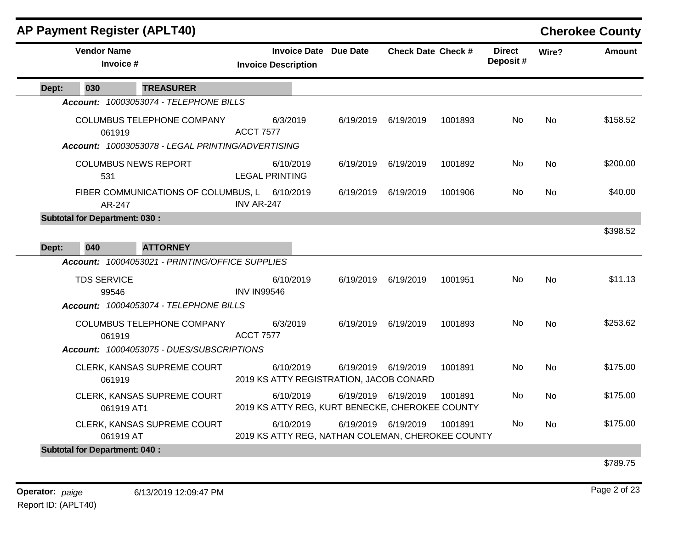| <b>AP Payment Register (APLT40)</b>                  |                                                   |                                                                |                              |                           |         |                           |           | <b>Cherokee County</b> |
|------------------------------------------------------|---------------------------------------------------|----------------------------------------------------------------|------------------------------|---------------------------|---------|---------------------------|-----------|------------------------|
| <b>Vendor Name</b><br>Invoice #                      |                                                   | <b>Invoice Description</b>                                     | <b>Invoice Date Due Date</b> | <b>Check Date Check #</b> |         | <b>Direct</b><br>Deposit# | Wire?     | Amount                 |
| 030<br>Dept:                                         | <b>TREASURER</b>                                  |                                                                |                              |                           |         |                           |           |                        |
|                                                      | Account: 10003053074 - TELEPHONE BILLS            |                                                                |                              |                           |         |                           |           |                        |
| 061919                                               | COLUMBUS TELEPHONE COMPANY                        | 6/3/2019<br><b>ACCT 7577</b>                                   | 6/19/2019                    | 6/19/2019                 | 1001893 | No.                       | <b>No</b> | \$158.52               |
|                                                      | Account: 10003053078 - LEGAL PRINTING/ADVERTISING |                                                                |                              |                           |         |                           |           |                        |
| 531                                                  | <b>COLUMBUS NEWS REPORT</b>                       | 6/10/2019<br><b>LEGAL PRINTING</b>                             |                              | 6/19/2019 6/19/2019       | 1001892 | No.                       | No.       | \$200.00               |
| AR-247                                               | FIBER COMMUNICATIONS OF COLUMBUS, L 6/10/2019     | INV AR-247                                                     | 6/19/2019                    | 6/19/2019                 | 1001906 | No.                       | No.       | \$40.00                |
| <b>Subtotal for Department: 030:</b><br>040<br>Dept: | <b>ATTORNEY</b>                                   |                                                                |                              |                           |         |                           |           | \$398.52               |
|                                                      | Account: 10004053021 - PRINTING/OFFICE SUPPLIES   |                                                                |                              |                           |         |                           |           |                        |
| <b>TDS SERVICE</b><br>99546                          |                                                   | 6/10/2019<br><b>INV IN99546</b>                                |                              | 6/19/2019 6/19/2019       | 1001951 | No.                       | No.       | \$11.13                |
|                                                      | Account: 10004053074 - TELEPHONE BILLS            |                                                                |                              |                           |         |                           |           |                        |
| 061919                                               | COLUMBUS TELEPHONE COMPANY                        | 6/3/2019<br><b>ACCT 7577</b>                                   |                              | 6/19/2019 6/19/2019       | 1001893 | No                        | No.       | \$253.62               |
|                                                      | Account: 10004053075 - DUES/SUBSCRIPTIONS         |                                                                |                              |                           |         |                           |           |                        |
| 061919                                               | CLERK, KANSAS SUPREME COURT                       | 6/10/2019<br>2019 KS ATTY REGISTRATION, JACOB CONARD           |                              | 6/19/2019 6/19/2019       | 1001891 | No                        | <b>No</b> | \$175.00               |
| 061919 AT1                                           | CLERK, KANSAS SUPREME COURT                       | 6/10/2019<br>2019 KS ATTY REG, KURT BENECKE, CHEROKEE COUNTY   |                              | 6/19/2019 6/19/2019       | 1001891 | No.                       | <b>No</b> | \$175.00               |
| 061919 AT                                            | CLERK, KANSAS SUPREME COURT                       | 6/10/2019<br>2019 KS ATTY REG, NATHAN COLEMAN, CHEROKEE COUNTY |                              | 6/19/2019 6/19/2019       | 1001891 | No                        | <b>No</b> | \$175.00               |
| <b>Subtotal for Department: 040:</b>                 |                                                   |                                                                |                              |                           |         |                           |           |                        |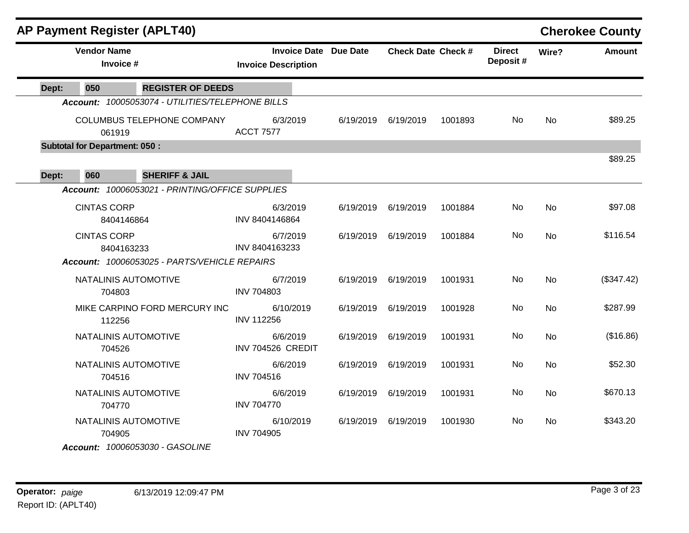| <b>AP Payment Register (APLT40)</b>              |                                                            |           |                           |         |                           |           | <b>Cherokee County</b> |
|--------------------------------------------------|------------------------------------------------------------|-----------|---------------------------|---------|---------------------------|-----------|------------------------|
| <b>Vendor Name</b><br>Invoice #                  | <b>Invoice Date Due Date</b><br><b>Invoice Description</b> |           | <b>Check Date Check #</b> |         | <b>Direct</b><br>Deposit# | Wire?     | <b>Amount</b>          |
| <b>REGISTER OF DEEDS</b><br>050<br>Dept:         |                                                            |           |                           |         |                           |           |                        |
| Account: 10005053074 - UTILITIES/TELEPHONE BILLS |                                                            |           |                           |         |                           |           |                        |
| COLUMBUS TELEPHONE COMPANY<br>061919             | 6/3/2019<br><b>ACCT 7577</b>                               |           | 6/19/2019 6/19/2019       | 1001893 | No.                       | <b>No</b> | \$89.25                |
| <b>Subtotal for Department: 050:</b>             |                                                            |           |                           |         |                           |           |                        |
| <b>SHERIFF &amp; JAIL</b><br>060<br>Dept:        |                                                            |           |                           |         |                           |           | \$89.25                |
| Account: 10006053021 - PRINTING/OFFICE SUPPLIES  |                                                            |           |                           |         |                           |           |                        |
| <b>CINTAS CORP</b><br>8404146864                 | 6/3/2019<br>INV 8404146864                                 | 6/19/2019 | 6/19/2019                 | 1001884 | No.                       | <b>No</b> | \$97.08                |
| <b>CINTAS CORP</b><br>8404163233                 | 6/7/2019<br>INV 8404163233                                 | 6/19/2019 | 6/19/2019                 | 1001884 | No.                       | <b>No</b> | \$116.54               |
| Account: 10006053025 - PARTS/VEHICLE REPAIRS     |                                                            |           |                           |         |                           |           |                        |
| NATALINIS AUTOMOTIVE<br>704803                   | 6/7/2019<br><b>INV 704803</b>                              | 6/19/2019 | 6/19/2019                 | 1001931 | No                        | <b>No</b> | (\$347.42)             |
| MIKE CARPINO FORD MERCURY INC<br>112256          | 6/10/2019<br><b>INV 112256</b>                             | 6/19/2019 | 6/19/2019                 | 1001928 | No                        | <b>No</b> | \$287.99               |
| NATALINIS AUTOMOTIVE<br>704526                   | 6/6/2019<br>INV 704526 CREDIT                              | 6/19/2019 | 6/19/2019                 | 1001931 | No                        | <b>No</b> | (\$16.86)              |
| NATALINIS AUTOMOTIVE<br>704516                   | 6/6/2019<br><b>INV 704516</b>                              | 6/19/2019 | 6/19/2019                 | 1001931 | No                        | <b>No</b> | \$52.30                |
| NATALINIS AUTOMOTIVE<br>704770                   | 6/6/2019<br><b>INV 704770</b>                              | 6/19/2019 | 6/19/2019                 | 1001931 | No.                       | <b>No</b> | \$670.13               |
| NATALINIS AUTOMOTIVE<br>704905                   | 6/10/2019<br><b>INV 704905</b>                             | 6/19/2019 | 6/19/2019                 | 1001930 | No                        | No.       | \$343.20               |
| Account: 10006053030 - GASOLINE                  |                                                            |           |                           |         |                           |           |                        |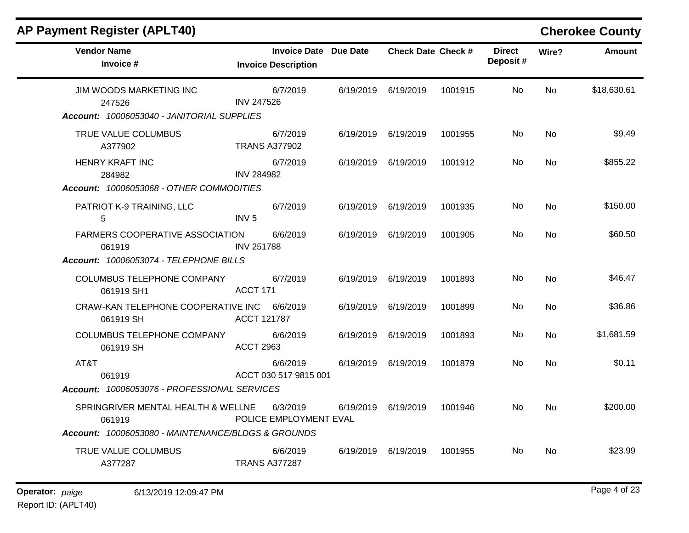| <b>AP Payment Register (APLT40)</b>                      |                                                            |           |                           |         |                           |                | <b>Cherokee County</b> |
|----------------------------------------------------------|------------------------------------------------------------|-----------|---------------------------|---------|---------------------------|----------------|------------------------|
| <b>Vendor Name</b><br>Invoice #                          | <b>Invoice Date Due Date</b><br><b>Invoice Description</b> |           | <b>Check Date Check #</b> |         | <b>Direct</b><br>Deposit# | Wire?          | <b>Amount</b>          |
| JIM WOODS MARKETING INC<br>247526                        | 6/7/2019<br><b>INV 247526</b>                              |           | 6/19/2019 6/19/2019       | 1001915 | No.                       | <b>No</b>      | \$18,630.61            |
| Account: 10006053040 - JANITORIAL SUPPLIES               |                                                            |           |                           |         |                           |                |                        |
| TRUE VALUE COLUMBUS<br>A377902                           | 6/7/2019<br><b>TRANS A377902</b>                           |           | 6/19/2019 6/19/2019       | 1001955 | No.                       | <b>No</b>      | \$9.49                 |
| <b>HENRY KRAFT INC</b><br>284982                         | 6/7/2019<br><b>INV 284982</b>                              | 6/19/2019 | 6/19/2019                 | 1001912 | No                        | No.            | \$855.22               |
| Account: 10006053068 - OTHER COMMODITIES                 |                                                            |           |                           |         |                           |                |                        |
| PATRIOT K-9 TRAINING, LLC<br>5                           | 6/7/2019<br>INV <sub>5</sub>                               |           | 6/19/2019 6/19/2019       | 1001935 | No.                       | <b>No</b>      | \$150.00               |
| <b>FARMERS COOPERATIVE ASSOCIATION</b><br>061919         | 6/6/2019<br><b>INV 251788</b>                              |           | 6/19/2019 6/19/2019       | 1001905 | No.                       | No.            | \$60.50                |
| Account: 10006053074 - TELEPHONE BILLS                   |                                                            |           |                           |         |                           |                |                        |
| COLUMBUS TELEPHONE COMPANY<br>061919 SH1                 | 6/7/2019<br>ACCT 171                                       | 6/19/2019 | 6/19/2019                 | 1001893 | No.                       | No             | \$46.47                |
| CRAW-KAN TELEPHONE COOPERATIVE INC 6/6/2019<br>061919 SH | <b>ACCT 121787</b>                                         | 6/19/2019 | 6/19/2019                 | 1001899 | No.                       | No.            | \$36.86                |
| COLUMBUS TELEPHONE COMPANY<br>061919 SH                  | 6/6/2019<br><b>ACCT 2963</b>                               |           | 6/19/2019 6/19/2019       | 1001893 | No.                       | <b>No</b>      | \$1,681.59             |
| AT&T<br>061919                                           | 6/6/2019<br>ACCT 030 517 9815 001                          | 6/19/2019 | 6/19/2019                 | 1001879 | No                        | N <sub>o</sub> | \$0.11                 |
| Account: 10006053076 - PROFESSIONAL SERVICES             |                                                            |           |                           |         |                           |                |                        |
| SPRINGRIVER MENTAL HEALTH & WELLNE<br>061919             | 6/3/2019<br>POLICE EMPLOYMENT EVAL                         | 6/19/2019 | 6/19/2019                 | 1001946 | No.                       | No.            | \$200.00               |
| Account: 10006053080 - MAINTENANCE/BLDGS & GROUNDS       |                                                            |           |                           |         |                           |                |                        |
| TRUE VALUE COLUMBUS<br>A377287                           | 6/6/2019<br><b>TRANS A377287</b>                           |           | 6/19/2019 6/19/2019       | 1001955 | No.                       | No.            | \$23.99                |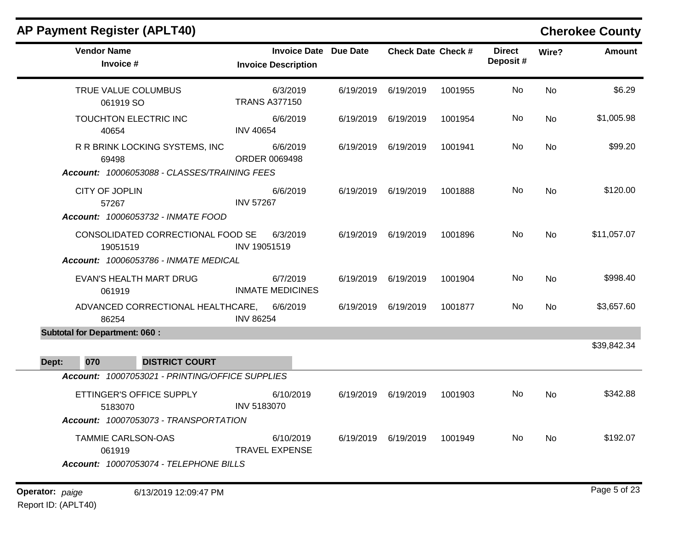| <b>AP Payment Register (APLT40)</b>                                    |                                                            |           |                           |         |                           |           | <b>Cherokee County</b> |
|------------------------------------------------------------------------|------------------------------------------------------------|-----------|---------------------------|---------|---------------------------|-----------|------------------------|
| <b>Vendor Name</b><br>Invoice #                                        | <b>Invoice Date Due Date</b><br><b>Invoice Description</b> |           | <b>Check Date Check #</b> |         | <b>Direct</b><br>Deposit# | Wire?     | <b>Amount</b>          |
| TRUE VALUE COLUMBUS<br>061919 SO                                       | 6/3/2019<br><b>TRANS A377150</b>                           | 6/19/2019 | 6/19/2019                 | 1001955 | <b>No</b>                 | <b>No</b> | \$6.29                 |
| TOUCHTON ELECTRIC INC<br>40654                                         | 6/6/2019<br><b>INV 40654</b>                               |           | 6/19/2019 6/19/2019       | 1001954 | No.                       | No        | \$1,005.98             |
| R R BRINK LOCKING SYSTEMS, INC<br>69498                                | 6/6/2019<br>ORDER 0069498                                  |           | 6/19/2019 6/19/2019       | 1001941 | No                        | No        | \$99.20                |
| Account: 10006053088 - CLASSES/TRAINING FEES                           |                                                            |           |                           |         |                           |           |                        |
| CITY OF JOPLIN<br>57267                                                | 6/6/2019<br><b>INV 57267</b>                               |           | 6/19/2019 6/19/2019       | 1001888 | No                        | <b>No</b> | \$120.00               |
| Account: 10006053732 - INMATE FOOD                                     |                                                            |           |                           |         |                           |           |                        |
| CONSOLIDATED CORRECTIONAL FOOD SE<br>19051519                          | 6/3/2019<br>INV 19051519                                   |           | 6/19/2019 6/19/2019       | 1001896 | <b>No</b>                 | <b>No</b> | \$11,057.07            |
| Account: 10006053786 - INMATE MEDICAL                                  |                                                            |           |                           |         |                           |           |                        |
| EVAN'S HEALTH MART DRUG<br>061919                                      | 6/7/2019<br><b>INMATE MEDICINES</b>                        |           | 6/19/2019 6/19/2019       | 1001904 | No.                       | <b>No</b> | \$998.40               |
| ADVANCED CORRECTIONAL HEALTHCARE,<br>86254                             | 6/6/2019<br><b>INV 86254</b>                               |           | 6/19/2019 6/19/2019       | 1001877 | No                        | No        | \$3,657.60             |
| <b>Subtotal for Department: 060:</b>                                   |                                                            |           |                           |         |                           |           |                        |
|                                                                        |                                                            |           |                           |         |                           |           | \$39,842.34            |
| 070<br><b>DISTRICT COURT</b><br>Dept:                                  |                                                            |           |                           |         |                           |           |                        |
| Account: 10007053021 - PRINTING/OFFICE SUPPLIES                        |                                                            |           |                           |         |                           |           |                        |
| ETTINGER'S OFFICE SUPPLY<br>5183070                                    | 6/10/2019<br>INV 5183070                                   |           | 6/19/2019 6/19/2019       | 1001903 | No                        | No        | \$342.88               |
| Account: 10007053073 - TRANSPORTATION                                  |                                                            |           |                           |         |                           |           |                        |
| TAMMIE CARLSON-OAS<br>061919<br>Account: 10007053074 - TELEPHONE BILLS | 6/10/2019<br><b>TRAVEL EXPENSE</b>                         | 6/19/2019 | 6/19/2019                 | 1001949 | No                        | <b>No</b> | \$192.07               |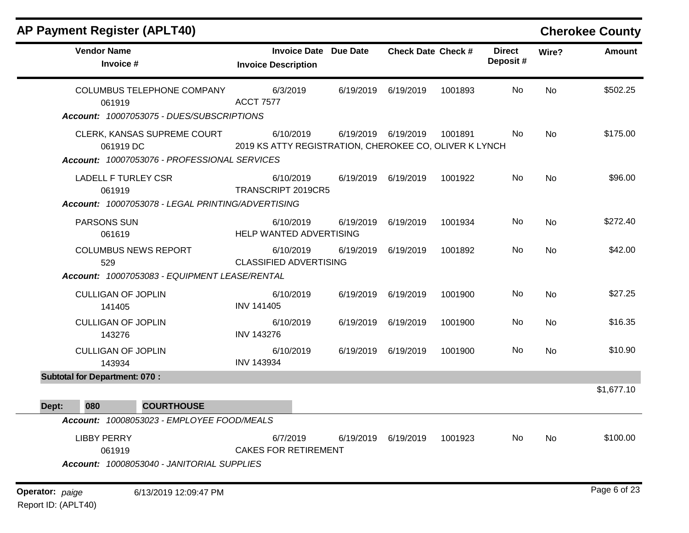| <b>AP Payment Register (APLT40)</b>                                                      |                                                                     |           |                           |         |                           |           | <b>Cherokee County</b> |
|------------------------------------------------------------------------------------------|---------------------------------------------------------------------|-----------|---------------------------|---------|---------------------------|-----------|------------------------|
| <b>Vendor Name</b><br>Invoice #                                                          | <b>Invoice Date Due Date</b><br><b>Invoice Description</b>          |           | <b>Check Date Check #</b> |         | <b>Direct</b><br>Deposit# | Wire?     | <b>Amount</b>          |
| <b>COLUMBUS TELEPHONE COMPANY</b><br>061919<br>Account: 10007053075 - DUES/SUBSCRIPTIONS | 6/3/2019<br><b>ACCT 7577</b>                                        | 6/19/2019 | 6/19/2019                 | 1001893 | No                        | No        | \$502.25               |
| CLERK, KANSAS SUPREME COURT<br>061919 DC<br>Account: 10007053076 - PROFESSIONAL SERVICES | 6/10/2019<br>2019 KS ATTY REGISTRATION, CHEROKEE CO, OLIVER K LYNCH |           | 6/19/2019 6/19/2019       | 1001891 | No                        | <b>No</b> | \$175.00               |
| <b>LADELL F TURLEY CSR</b><br>061919                                                     | 6/10/2019<br>TRANSCRIPT 2019CR5                                     |           | 6/19/2019 6/19/2019       | 1001922 | No                        | No        | \$96.00                |
| Account: 10007053078 - LEGAL PRINTING/ADVERTISING<br><b>PARSONS SUN</b><br>061619        | 6/10/2019<br>HELP WANTED ADVERTISING                                | 6/19/2019 | 6/19/2019                 | 1001934 | No                        | No        | \$272.40               |
| <b>COLUMBUS NEWS REPORT</b><br>529<br>Account: 10007053083 - EQUIPMENT LEASE/RENTAL      | 6/10/2019<br><b>CLASSIFIED ADVERTISING</b>                          | 6/19/2019 | 6/19/2019                 | 1001892 | No                        | No        | \$42.00                |
| <b>CULLIGAN OF JOPLIN</b><br>141405                                                      | 6/10/2019<br><b>INV 141405</b>                                      | 6/19/2019 | 6/19/2019                 | 1001900 | No                        | No        | \$27.25                |
| <b>CULLIGAN OF JOPLIN</b><br>143276                                                      | 6/10/2019<br><b>INV 143276</b>                                      |           | 6/19/2019 6/19/2019       | 1001900 | No                        | No        | \$16.35                |
| <b>CULLIGAN OF JOPLIN</b><br>143934                                                      | 6/10/2019<br><b>INV 143934</b>                                      | 6/19/2019 | 6/19/2019                 | 1001900 | No                        | No        | \$10.90                |
| <b>Subtotal for Department: 070:</b>                                                     |                                                                     |           |                           |         |                           |           | \$1,677.10             |
| <b>COURTHOUSE</b><br>080<br>Dept:                                                        |                                                                     |           |                           |         |                           |           |                        |
| Account: 10008053023 - EMPLOYEE FOOD/MEALS                                               |                                                                     |           |                           |         |                           |           |                        |
| <b>LIBBY PERRY</b><br>061919<br>Account: 10008053040 - JANITORIAL SUPPLIES               | 6/7/2019<br><b>CAKES FOR RETIREMENT</b>                             | 6/19/2019 | 6/19/2019                 | 1001923 | No                        | No        | \$100.00               |
| Operator: paige<br>6/13/2019 12:09:47 PM                                                 |                                                                     |           |                           |         |                           |           | Page 6 of 23           |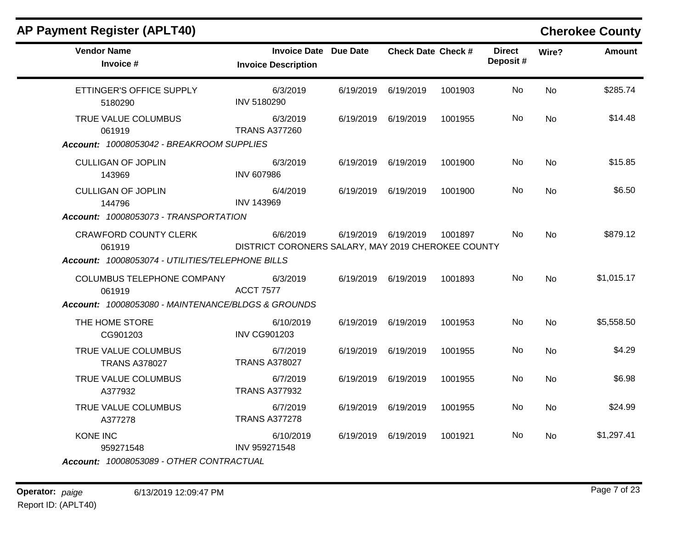| <b>AP Payment Register (APLT40)</b>                |                                                                |           |                           |         |                           |           | <b>Cherokee County</b> |
|----------------------------------------------------|----------------------------------------------------------------|-----------|---------------------------|---------|---------------------------|-----------|------------------------|
| <b>Vendor Name</b><br>Invoice #                    | <b>Invoice Date Due Date</b><br><b>Invoice Description</b>     |           | <b>Check Date Check #</b> |         | <b>Direct</b><br>Deposit# | Wire?     | Amount                 |
| ETTINGER'S OFFICE SUPPLY<br>5180290                | 6/3/2019<br><b>INV 5180290</b>                                 |           | 6/19/2019 6/19/2019       | 1001903 | No.                       | <b>No</b> | \$285.74               |
| TRUE VALUE COLUMBUS<br>061919                      | 6/3/2019<br><b>TRANS A377260</b>                               |           | 6/19/2019 6/19/2019       | 1001955 | No.                       | <b>No</b> | \$14.48                |
| Account: 10008053042 - BREAKROOM SUPPLIES          |                                                                |           |                           |         |                           |           |                        |
| <b>CULLIGAN OF JOPLIN</b><br>143969                | 6/3/2019<br><b>INV 607986</b>                                  |           | 6/19/2019 6/19/2019       | 1001900 | No.                       | <b>No</b> | \$15.85                |
| <b>CULLIGAN OF JOPLIN</b><br>144796                | 6/4/2019<br><b>INV 143969</b>                                  |           | 6/19/2019 6/19/2019       | 1001900 | No.                       | <b>No</b> | \$6.50                 |
| Account: 10008053073 - TRANSPORTATION              |                                                                |           |                           |         |                           |           |                        |
| <b>CRAWFORD COUNTY CLERK</b><br>061919             | 6/6/2019<br>DISTRICT CORONERS SALARY, MAY 2019 CHEROKEE COUNTY |           | 6/19/2019 6/19/2019       | 1001897 | No.                       | No.       | \$879.12               |
| Account: 10008053074 - UTILITIES/TELEPHONE BILLS   |                                                                |           |                           |         |                           |           |                        |
| COLUMBUS TELEPHONE COMPANY<br>061919               | 6/3/2019<br><b>ACCT 7577</b>                                   |           | 6/19/2019 6/19/2019       | 1001893 | No.                       | <b>No</b> | \$1,015.17             |
| Account: 10008053080 - MAINTENANCE/BLDGS & GROUNDS |                                                                |           |                           |         |                           |           |                        |
| THE HOME STORE<br>CG901203                         | 6/10/2019<br><b>INV CG901203</b>                               |           | 6/19/2019 6/19/2019       | 1001953 | No                        | <b>No</b> | \$5,558.50             |
| TRUE VALUE COLUMBUS<br><b>TRANS A378027</b>        | 6/7/2019<br><b>TRANS A378027</b>                               |           | 6/19/2019 6/19/2019       | 1001955 | No.                       | <b>No</b> | \$4.29                 |
| TRUE VALUE COLUMBUS<br>A377932                     | 6/7/2019<br><b>TRANS A377932</b>                               | 6/19/2019 | 6/19/2019                 | 1001955 | No                        | No        | \$6.98                 |
| TRUE VALUE COLUMBUS<br>A377278                     | 6/7/2019<br><b>TRANS A377278</b>                               |           | 6/19/2019 6/19/2019       | 1001955 | No.                       | <b>No</b> | \$24.99                |
| <b>KONE INC</b><br>959271548                       | 6/10/2019<br>INV 959271548                                     |           | 6/19/2019 6/19/2019       | 1001921 | No.                       | No        | \$1,297.41             |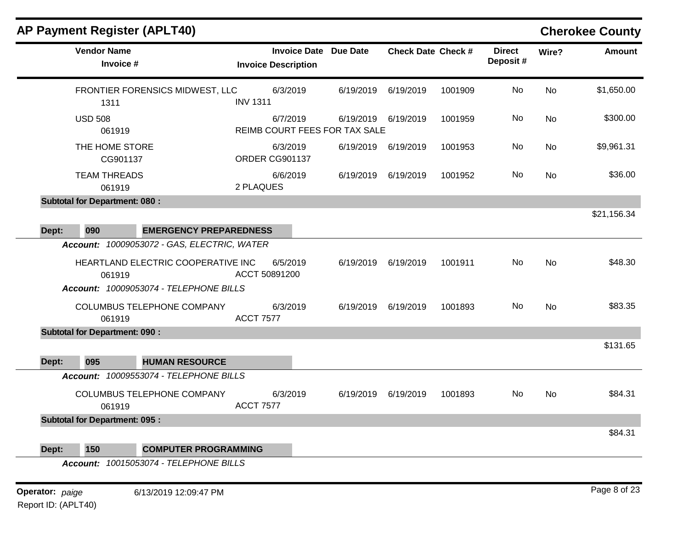| <b>AP Payment Register (APLT40)</b>                                                          |                                                            |           |                           |         |                           |           | <b>Cherokee County</b> |
|----------------------------------------------------------------------------------------------|------------------------------------------------------------|-----------|---------------------------|---------|---------------------------|-----------|------------------------|
| <b>Vendor Name</b><br>Invoice #                                                              | <b>Invoice Date Due Date</b><br><b>Invoice Description</b> |           | <b>Check Date Check #</b> |         | <b>Direct</b><br>Deposit# | Wire?     | <b>Amount</b>          |
| FRONTIER FORENSICS MIDWEST, LLC<br>1311                                                      | 6/3/2019<br><b>INV 1311</b>                                | 6/19/2019 | 6/19/2019                 | 1001909 | No                        | <b>No</b> | \$1,650.00             |
| <b>USD 508</b><br>061919                                                                     | 6/7/2019<br>REIMB COURT FEES FOR TAX SALE                  | 6/19/2019 | 6/19/2019                 | 1001959 | No                        | <b>No</b> | \$300.00               |
| THE HOME STORE<br>CG901137                                                                   | 6/3/2019<br>ORDER CG901137                                 | 6/19/2019 | 6/19/2019                 | 1001953 | No                        | No        | \$9,961.31             |
| <b>TEAM THREADS</b><br>061919                                                                | 6/6/2019<br>2 PLAQUES                                      | 6/19/2019 | 6/19/2019                 | 1001952 | No                        | No        | \$36.00                |
| <b>Subtotal for Department: 080:</b>                                                         |                                                            |           |                           |         |                           |           |                        |
|                                                                                              |                                                            |           |                           |         |                           |           | \$21,156.34            |
| 090<br>Dept:<br><b>EMERGENCY PREPAREDNESS</b><br>Account: 10009053072 - GAS, ELECTRIC, WATER |                                                            |           |                           |         |                           |           |                        |
| HEARTLAND ELECTRIC COOPERATIVE INC<br>061919<br>Account: 10009053074 - TELEPHONE BILLS       | 6/5/2019<br>ACCT 50891200                                  | 6/19/2019 | 6/19/2019                 | 1001911 | No                        | No        | \$48.30                |
| COLUMBUS TELEPHONE COMPANY<br>061919                                                         | 6/3/2019<br><b>ACCT 7577</b>                               | 6/19/2019 | 6/19/2019                 | 1001893 | No                        | <b>No</b> | \$83.35                |
| <b>Subtotal for Department: 090:</b>                                                         |                                                            |           |                           |         |                           |           |                        |
|                                                                                              |                                                            |           |                           |         |                           |           | \$131.65               |
| 095<br>Dept:<br><b>HUMAN RESOURCE</b>                                                        |                                                            |           |                           |         |                           |           |                        |
| Account: 10009553074 - TELEPHONE BILLS<br>COLUMBUS TELEPHONE COMPANY<br>061919               | 6/3/2019<br><b>ACCT 7577</b>                               | 6/19/2019 | 6/19/2019                 | 1001893 | No                        | <b>No</b> | \$84.31                |
| <b>Subtotal for Department: 095:</b>                                                         |                                                            |           |                           |         |                           |           |                        |
|                                                                                              |                                                            |           |                           |         |                           |           | \$84.31                |
| 150<br><b>COMPUTER PROGRAMMING</b><br>Dept:                                                  |                                                            |           |                           |         |                           |           |                        |
| Account: 10015053074 - TELEPHONE BILLS                                                       |                                                            |           |                           |         |                           |           |                        |
| Operator: paige<br>6/13/2019 12:09:47 PM                                                     |                                                            |           |                           |         |                           |           | Page 8 of 23           |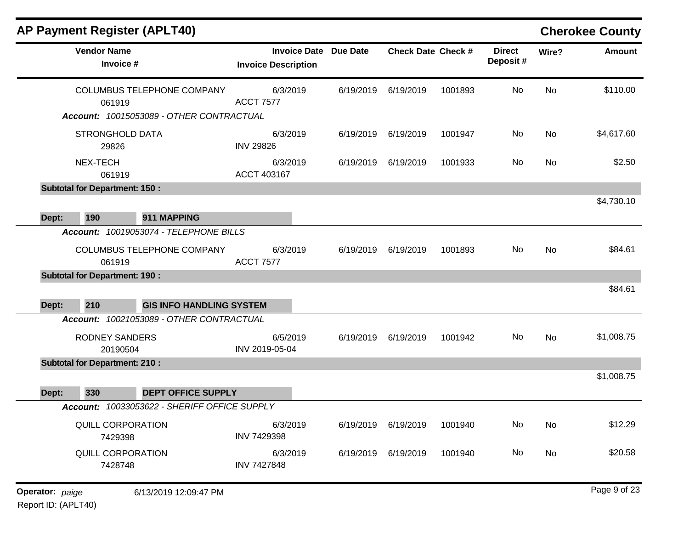|                        |                                      | <b>AP Payment Register (APLT40)</b>                                           |                                                            |           |                           |         |                           |       | <b>Cherokee County</b> |
|------------------------|--------------------------------------|-------------------------------------------------------------------------------|------------------------------------------------------------|-----------|---------------------------|---------|---------------------------|-------|------------------------|
|                        | <b>Vendor Name</b><br>Invoice #      |                                                                               | <b>Invoice Date Due Date</b><br><b>Invoice Description</b> |           | <b>Check Date Check #</b> |         | <b>Direct</b><br>Deposit# | Wire? | <b>Amount</b>          |
|                        | 061919                               | <b>COLUMBUS TELEPHONE COMPANY</b><br>Account: 10015053089 - OTHER CONTRACTUAL | 6/3/2019<br><b>ACCT 7577</b>                               | 6/19/2019 | 6/19/2019                 | 1001893 | No                        | No    | \$110.00               |
|                        | <b>STRONGHOLD DATA</b><br>29826      |                                                                               | 6/3/2019<br><b>INV 29826</b>                               | 6/19/2019 | 6/19/2019                 | 1001947 | No                        | No    | \$4,617.60             |
|                        | NEX-TECH<br>061919                   |                                                                               | 6/3/2019<br>ACCT 403167                                    | 6/19/2019 | 6/19/2019                 | 1001933 | No                        | No    | \$2.50                 |
|                        | <b>Subtotal for Department: 150:</b> |                                                                               |                                                            |           |                           |         |                           |       |                        |
| Dept:                  | 190                                  | 911 MAPPING                                                                   |                                                            |           |                           |         |                           |       | \$4,730.10             |
|                        |                                      | Account: 10019053074 - TELEPHONE BILLS                                        |                                                            |           |                           |         |                           |       |                        |
|                        | 061919                               | COLUMBUS TELEPHONE COMPANY                                                    | 6/3/2019<br><b>ACCT 7577</b>                               | 6/19/2019 | 6/19/2019                 | 1001893 | No                        | No    | \$84.61                |
|                        | <b>Subtotal for Department: 190:</b> |                                                                               |                                                            |           |                           |         |                           |       |                        |
| Dept:                  | 210                                  | <b>GIS INFO HANDLING SYSTEM</b>                                               |                                                            |           |                           |         |                           |       | \$84.61                |
|                        |                                      | Account: 10021053089 - OTHER CONTRACTUAL                                      |                                                            |           |                           |         |                           |       |                        |
|                        | <b>RODNEY SANDERS</b><br>20190504    |                                                                               | 6/5/2019<br>INV 2019-05-04                                 | 6/19/2019 | 6/19/2019                 | 1001942 | No                        | No    | \$1,008.75             |
|                        | <b>Subtotal for Department: 210:</b> |                                                                               |                                                            |           |                           |         |                           |       |                        |
| Dept:                  | 330                                  | <b>DEPT OFFICE SUPPLY</b>                                                     |                                                            |           |                           |         |                           |       | \$1,008.75             |
|                        |                                      | Account: 10033053622 - SHERIFF OFFICE SUPPLY                                  |                                                            |           |                           |         |                           |       |                        |
|                        | QUILL CORPORATION<br>7429398         |                                                                               | 6/3/2019<br><b>INV 7429398</b>                             | 6/19/2019 | 6/19/2019                 | 1001940 | No                        | No    | \$12.29                |
|                        | QUILL CORPORATION<br>7428748         |                                                                               | 6/3/2019<br><b>INV 7427848</b>                             | 6/19/2019 | 6/19/2019                 | 1001940 | No                        | No    | \$20.58                |
| <b>Operator:</b> paige |                                      | 6/13/2019 12:09:47 PM                                                         |                                                            |           |                           |         |                           |       | Page 9 of 23           |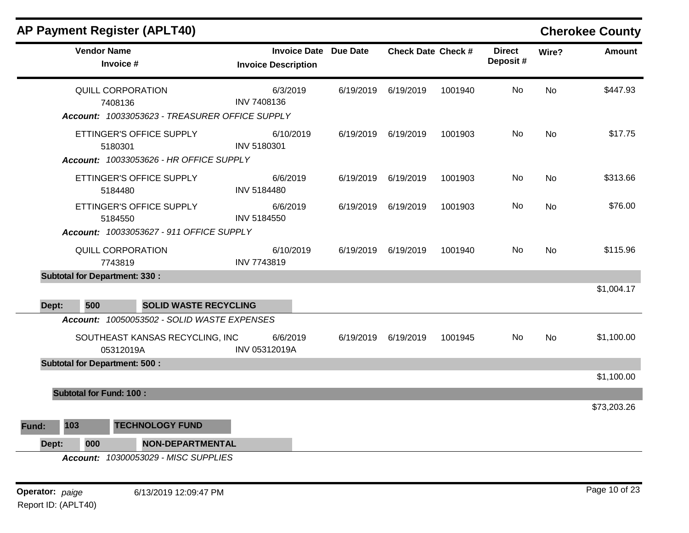|       | <b>AP Payment Register (APLT40)</b>                                                         |                                                            |           |                           |         |                           |           | <b>Cherokee County</b> |
|-------|---------------------------------------------------------------------------------------------|------------------------------------------------------------|-----------|---------------------------|---------|---------------------------|-----------|------------------------|
|       | <b>Vendor Name</b><br>Invoice #                                                             | <b>Invoice Date Due Date</b><br><b>Invoice Description</b> |           | <b>Check Date Check #</b> |         | <b>Direct</b><br>Deposit# | Wire?     | <b>Amount</b>          |
|       | QUILL CORPORATION<br>7408136<br>Account: 10033053623 - TREASURER OFFICE SUPPLY              | 6/3/2019<br>INV 7408136                                    | 6/19/2019 | 6/19/2019                 | 1001940 | No                        | <b>No</b> | \$447.93               |
|       | ETTINGER'S OFFICE SUPPLY<br>5180301<br>Account: 10033053626 - HR OFFICE SUPPLY              | 6/10/2019<br>INV 5180301                                   | 6/19/2019 | 6/19/2019                 | 1001903 | No                        | No        | \$17.75                |
|       | ETTINGER'S OFFICE SUPPLY<br>5184480                                                         | 6/6/2019<br><b>INV 5184480</b>                             |           | 6/19/2019 6/19/2019       | 1001903 | No                        | No        | \$313.66               |
|       | ETTINGER'S OFFICE SUPPLY<br>5184550<br>Account: 10033053627 - 911 OFFICE SUPPLY             | 6/6/2019<br><b>INV 5184550</b>                             |           | 6/19/2019 6/19/2019       | 1001903 | No                        | No.       | \$76.00                |
|       | QUILL CORPORATION<br>7743819                                                                | 6/10/2019<br>INV 7743819                                   |           | 6/19/2019 6/19/2019       | 1001940 | No                        | No        | \$115.96               |
|       | <b>Subtotal for Department: 330:</b>                                                        |                                                            |           |                           |         |                           |           |                        |
| Dept: | 500<br><b>SOLID WASTE RECYCLING</b>                                                         |                                                            |           |                           |         |                           |           | \$1,004.17             |
|       | Account: 10050053502 - SOLID WASTE EXPENSES<br>SOUTHEAST KANSAS RECYCLING, INC<br>05312019A | 6/6/2019<br>INV 05312019A                                  | 6/19/2019 | 6/19/2019                 | 1001945 | No                        | <b>No</b> | \$1,100.00             |
|       | <b>Subtotal for Department: 500:</b>                                                        |                                                            |           |                           |         |                           |           | \$1,100.00             |
|       | <b>Subtotal for Fund: 100:</b>                                                              |                                                            |           |                           |         |                           |           |                        |
|       |                                                                                             |                                                            |           |                           |         |                           |           | \$73,203.26            |
| Fund: | 103<br><b>TECHNOLOGY FUND</b>                                                               |                                                            |           |                           |         |                           |           |                        |
| Dept: | <b>NON-DEPARTMENTAL</b><br>000                                                              |                                                            |           |                           |         |                           |           |                        |
|       | Account: 10300053029 - MISC SUPPLIES                                                        |                                                            |           |                           |         |                           |           |                        |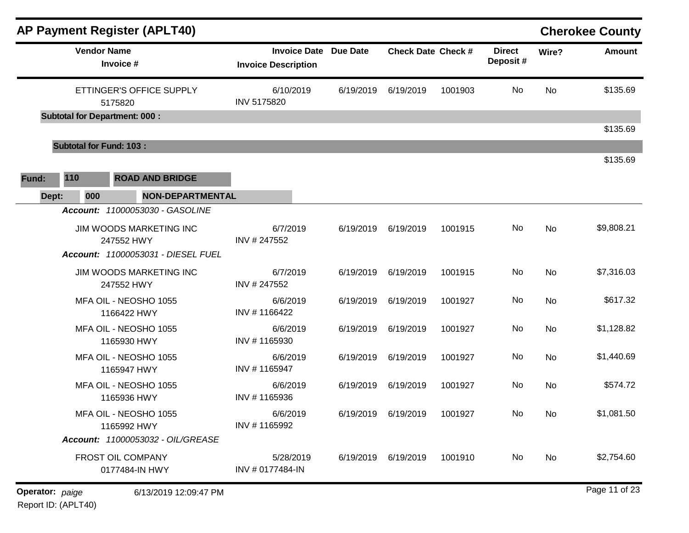|                 |                                     | AP Payment Register (APLT40)          |                                                            |           |                           |         |                           |           | <b>Cherokee County</b> |
|-----------------|-------------------------------------|---------------------------------------|------------------------------------------------------------|-----------|---------------------------|---------|---------------------------|-----------|------------------------|
|                 | <b>Vendor Name</b>                  | Invoice #                             | <b>Invoice Date Due Date</b><br><b>Invoice Description</b> |           | <b>Check Date Check #</b> |         | <b>Direct</b><br>Deposit# | Wire?     | <b>Amount</b>          |
|                 |                                     | ETTINGER'S OFFICE SUPPLY<br>5175820   | 6/10/2019<br>INV 5175820                                   | 6/19/2019 | 6/19/2019                 | 1001903 | No                        | <b>No</b> | \$135.69               |
|                 |                                     | <b>Subtotal for Department: 000:</b>  |                                                            |           |                           |         |                           |           | \$135.69               |
|                 | <b>Subtotal for Fund: 103:</b>      |                                       |                                                            |           |                           |         |                           |           |                        |
| Fund:           | 110                                 | <b>ROAD AND BRIDGE</b>                |                                                            |           |                           |         |                           |           | \$135.69               |
|                 | 000<br>Dept:                        | <b>NON-DEPARTMENTAL</b>               |                                                            |           |                           |         |                           |           |                        |
|                 |                                     | Account: 11000053030 - GASOLINE       |                                                            |           |                           |         |                           |           |                        |
|                 |                                     | JIM WOODS MARKETING INC<br>247552 HWY | 6/7/2019<br>INV # 247552                                   | 6/19/2019 | 6/19/2019                 | 1001915 | No                        | <b>No</b> | \$9,808.21             |
|                 |                                     | Account: 11000053031 - DIESEL FUEL    |                                                            |           |                           |         |                           |           |                        |
|                 |                                     | JIM WOODS MARKETING INC<br>247552 HWY | 6/7/2019<br>INV #247552                                    | 6/19/2019 | 6/19/2019                 | 1001915 | No                        | <b>No</b> | \$7,316.03             |
|                 |                                     | MFA OIL - NEOSHO 1055<br>1166422 HWY  | 6/6/2019<br>INV #1166422                                   | 6/19/2019 | 6/19/2019                 | 1001927 | No                        | <b>No</b> | \$617.32               |
|                 |                                     | MFA OIL - NEOSHO 1055<br>1165930 HWY  | 6/6/2019<br>INV #1165930                                   | 6/19/2019 | 6/19/2019                 | 1001927 | No                        | <b>No</b> | \$1,128.82             |
|                 |                                     | MFA OIL - NEOSHO 1055<br>1165947 HWY  | 6/6/2019<br>INV #1165947                                   | 6/19/2019 | 6/19/2019                 | 1001927 | No                        | No        | \$1,440.69             |
|                 |                                     | MFA OIL - NEOSHO 1055<br>1165936 HWY  | 6/6/2019<br>INV #1165936                                   | 6/19/2019 | 6/19/2019                 | 1001927 | No                        | No        | \$574.72               |
|                 |                                     | MFA OIL - NEOSHO 1055<br>1165992 HWY  | 6/6/2019<br>INV #1165992                                   |           | 6/19/2019 6/19/2019       | 1001927 | No                        | No        | \$1,081.50             |
|                 |                                     | Account: 11000053032 - OIL/GREASE     |                                                            |           |                           |         |                           |           |                        |
|                 | FROST OIL COMPANY<br>0177484-IN HWY |                                       | 5/28/2019<br>INV # 0177484-IN                              |           | 6/19/2019 6/19/2019       | 1001910 | No                        | No        | \$2,754.60             |
| Operator: paige |                                     | 6/13/2019 12:09:47 PM                 |                                                            |           |                           |         |                           |           | Page 11 of 23          |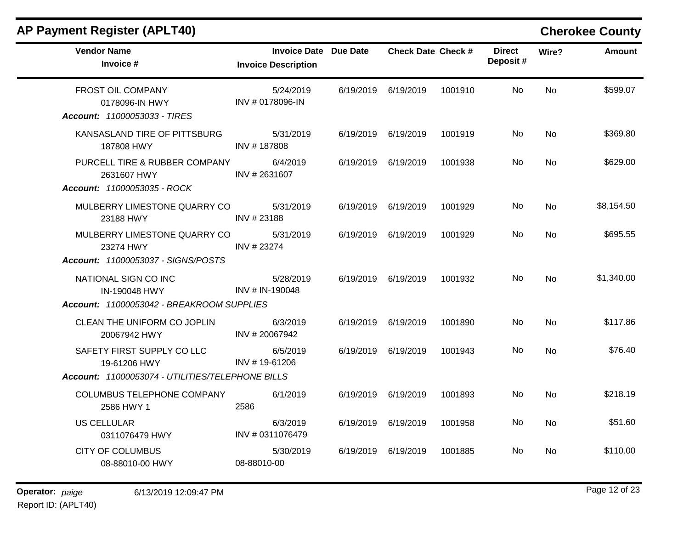| <b>Vendor Name</b><br>Invoice #                                                                | <b>Invoice Date Due Date</b><br><b>Invoice Description</b> |           | <b>Check Date Check #</b> |         | <b>Direct</b><br>Deposit# | Wire?     | <b>Amount</b> |
|------------------------------------------------------------------------------------------------|------------------------------------------------------------|-----------|---------------------------|---------|---------------------------|-----------|---------------|
| FROST OIL COMPANY<br>0178096-IN HWY<br><b>Account: 11000053033 - TIRES</b>                     | 5/24/2019<br>INV # 0178096-IN                              | 6/19/2019 | 6/19/2019                 | 1001910 | No.                       | <b>No</b> | \$599.07      |
| KANSASLAND TIRE OF PITTSBURG<br>187808 HWY                                                     | 5/31/2019<br>INV #187808                                   |           | 6/19/2019 6/19/2019       | 1001919 | No.                       | No        | \$369.80      |
| PURCELL TIRE & RUBBER COMPANY<br>2631607 HWY<br>Account: 11000053035 - ROCK                    | 6/4/2019<br>INV #2631607                                   | 6/19/2019 | 6/19/2019                 | 1001938 | No.                       | No        | \$629.00      |
| MULBERRY LIMESTONE QUARRY CO<br>23188 HWY                                                      | 5/31/2019<br>INV #23188                                    | 6/19/2019 | 6/19/2019                 | 1001929 | No                        | No        | \$8,154.50    |
| MULBERRY LIMESTONE QUARRY CO<br>23274 HWY<br>Account: 11000053037 - SIGNS/POSTS                | 5/31/2019<br>INV #23274                                    |           | 6/19/2019 6/19/2019       | 1001929 | No                        | <b>No</b> | \$695.55      |
| NATIONAL SIGN CO INC<br><b>IN-190048 HWY</b><br>Account: 11000053042 - BREAKROOM SUPPLIES      | 5/28/2019<br>INV # IN-190048                               |           | 6/19/2019 6/19/2019       | 1001932 | No.                       | <b>No</b> | \$1,340.00    |
| CLEAN THE UNIFORM CO JOPLIN<br>20067942 HWY                                                    | 6/3/2019<br>INV #20067942                                  | 6/19/2019 | 6/19/2019                 | 1001890 | No                        | <b>No</b> | \$117.86      |
| SAFETY FIRST SUPPLY CO LLC<br>19-61206 HWY<br>Account: 11000053074 - UTILITIES/TELEPHONE BILLS | 6/5/2019<br>INV #19-61206                                  | 6/19/2019 | 6/19/2019                 | 1001943 | No.                       | <b>No</b> | \$76.40       |
| COLUMBUS TELEPHONE COMPANY<br>2586 HWY 1                                                       | 6/1/2019<br>2586                                           |           | 6/19/2019 6/19/2019       | 1001893 | No                        | <b>No</b> | \$218.19      |
| <b>US CELLULAR</b><br>0311076479 HWY                                                           | 6/3/2019<br>INV # 0311076479                               | 6/19/2019 | 6/19/2019                 | 1001958 | No                        | <b>No</b> | \$51.60       |
| <b>CITY OF COLUMBUS</b><br>08-88010-00 HWY                                                     | 5/30/2019<br>08-88010-00                                   | 6/19/2019 | 6/19/2019                 | 1001885 | No.                       | <b>No</b> | \$110.00      |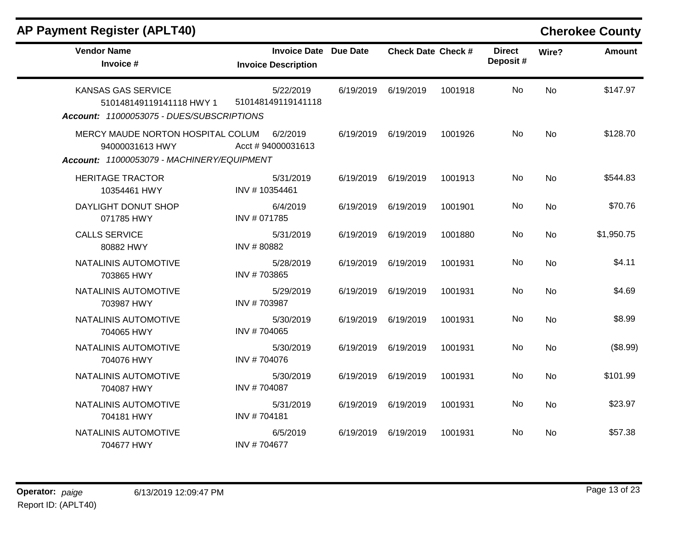| <b>Vendor Name</b><br>Invoice #                                                                                                                 | <b>Invoice Date Due Date</b><br><b>Invoice Description</b> |           | <b>Check Date Check #</b> |         | <b>Direct</b><br>Deposit# | Wire?     | <b>Amount</b> |
|-------------------------------------------------------------------------------------------------------------------------------------------------|------------------------------------------------------------|-----------|---------------------------|---------|---------------------------|-----------|---------------|
| <b>KANSAS GAS SERVICE</b><br>510148149119141118 HWY 1                                                                                           | 5/22/2019<br>510148149119141118                            | 6/19/2019 | 6/19/2019                 | 1001918 | No                        | <b>No</b> | \$147.97      |
| Account: 11000053075 - DUES/SUBSCRIPTIONS<br>MERCY MAUDE NORTON HOSPITAL COLUM<br>94000031613 HWY<br>Account: 11000053079 - MACHINERY/EQUIPMENT | 6/2/2019<br>Acct #94000031613                              | 6/19/2019 | 6/19/2019                 | 1001926 | No                        | <b>No</b> | \$128.70      |
| <b>HERITAGE TRACTOR</b><br>10354461 HWY                                                                                                         | 5/31/2019<br>INV #10354461                                 | 6/19/2019 | 6/19/2019                 | 1001913 | No                        | <b>No</b> | \$544.83      |
| DAYLIGHT DONUT SHOP<br>071785 HWY                                                                                                               | 6/4/2019<br>INV # 071785                                   | 6/19/2019 | 6/19/2019                 | 1001901 | No                        | <b>No</b> | \$70.76       |
| <b>CALLS SERVICE</b><br>80882 HWY                                                                                                               | 5/31/2019<br>INV #80882                                    | 6/19/2019 | 6/19/2019                 | 1001880 | No.                       | <b>No</b> | \$1,950.75    |
| NATALINIS AUTOMOTIVE<br>703865 HWY                                                                                                              | 5/28/2019<br>INV #703865                                   | 6/19/2019 | 6/19/2019                 | 1001931 | No                        | <b>No</b> | \$4.11        |
| NATALINIS AUTOMOTIVE<br>703987 HWY                                                                                                              | 5/29/2019<br>INV #703987                                   | 6/19/2019 | 6/19/2019                 | 1001931 | No.                       | <b>No</b> | \$4.69        |
| NATALINIS AUTOMOTIVE<br>704065 HWY                                                                                                              | 5/30/2019<br>INV #704065                                   | 6/19/2019 | 6/19/2019                 | 1001931 | No                        | No        | \$8.99        |
| NATALINIS AUTOMOTIVE<br>704076 HWY                                                                                                              | 5/30/2019<br>INV #704076                                   | 6/19/2019 | 6/19/2019                 | 1001931 | No.                       | <b>No</b> | (\$8.99)      |
| NATALINIS AUTOMOTIVE<br>704087 HWY                                                                                                              | 5/30/2019<br>INV #704087                                   | 6/19/2019 | 6/19/2019                 | 1001931 | No                        | <b>No</b> | \$101.99      |
| NATALINIS AUTOMOTIVE<br>704181 HWY                                                                                                              | 5/31/2019<br>INV #704181                                   | 6/19/2019 | 6/19/2019                 | 1001931 | No                        | <b>No</b> | \$23.97       |
| NATALINIS AUTOMOTIVE<br>704677 HWY                                                                                                              | 6/5/2019<br>INV #704677                                    | 6/19/2019 | 6/19/2019                 | 1001931 | No                        | No        | \$57.38       |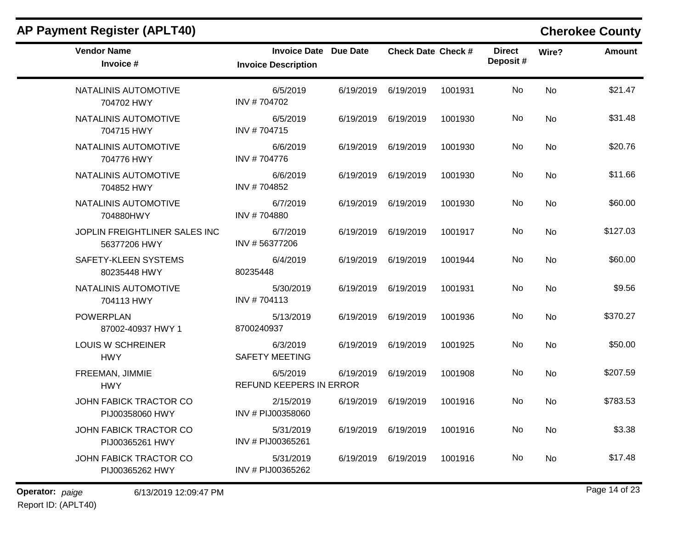| <b>Vendor Name</b><br>Invoice #               | Invoice Date Due Date<br><b>Invoice Description</b> |           | Check Date Check # |         | <b>Direct</b><br>Deposit# | Wire?          | <b>Amount</b> |
|-----------------------------------------------|-----------------------------------------------------|-----------|--------------------|---------|---------------------------|----------------|---------------|
| NATALINIS AUTOMOTIVE<br>704702 HWY            | 6/5/2019<br>INV #704702                             | 6/19/2019 | 6/19/2019          | 1001931 | No.                       | <b>No</b>      | \$21.47       |
| NATALINIS AUTOMOTIVE<br>704715 HWY            | 6/5/2019<br>INV #704715                             | 6/19/2019 | 6/19/2019          | 1001930 | No.                       | N <sub>o</sub> | \$31.48       |
| NATALINIS AUTOMOTIVE<br>704776 HWY            | 6/6/2019<br>INV #704776                             | 6/19/2019 | 6/19/2019          | 1001930 | No.                       | <b>No</b>      | \$20.76       |
| NATALINIS AUTOMOTIVE<br>704852 HWY            | 6/6/2019<br>INV #704852                             | 6/19/2019 | 6/19/2019          | 1001930 | No.                       | <b>No</b>      | \$11.66       |
| NATALINIS AUTOMOTIVE<br>704880HWY             | 6/7/2019<br>INV #704880                             | 6/19/2019 | 6/19/2019          | 1001930 | No.                       | No.            | \$60.00       |
| JOPLIN FREIGHTLINER SALES INC<br>56377206 HWY | 6/7/2019<br>INV #56377206                           | 6/19/2019 | 6/19/2019          | 1001917 | No                        | <b>No</b>      | \$127.03      |
| SAFETY-KLEEN SYSTEMS<br>80235448 HWY          | 6/4/2019<br>80235448                                | 6/19/2019 | 6/19/2019          | 1001944 | No                        | <b>No</b>      | \$60.00       |
| NATALINIS AUTOMOTIVE<br>704113 HWY            | 5/30/2019<br>INV #704113                            | 6/19/2019 | 6/19/2019          | 1001931 | No                        | No             | \$9.56        |
| <b>POWERPLAN</b><br>87002-40937 HWY 1         | 5/13/2019<br>8700240937                             | 6/19/2019 | 6/19/2019          | 1001936 | No                        | No             | \$370.27      |
| LOUIS W SCHREINER<br><b>HWY</b>               | 6/3/2019<br><b>SAFETY MEETING</b>                   | 6/19/2019 | 6/19/2019          | 1001925 | No.                       | No             | \$50.00       |
| FREEMAN, JIMMIE<br><b>HWY</b>                 | 6/5/2019<br>REFUND KEEPERS IN ERROR                 | 6/19/2019 | 6/19/2019          | 1001908 | No                        | No             | \$207.59      |
| JOHN FABICK TRACTOR CO<br>PIJ00358060 HWY     | 2/15/2019<br>INV # PIJ00358060                      | 6/19/2019 | 6/19/2019          | 1001916 | No                        | No             | \$783.53      |
| JOHN FABICK TRACTOR CO<br>PIJ00365261 HWY     | 5/31/2019<br>INV # PIJ00365261                      | 6/19/2019 | 6/19/2019          | 1001916 | No.                       | No             | \$3.38        |
| JOHN FABICK TRACTOR CO<br>PIJ00365262 HWY     | 5/31/2019<br>INV # PIJ00365262                      | 6/19/2019 | 6/19/2019          | 1001916 | No                        | <b>No</b>      | \$17.48       |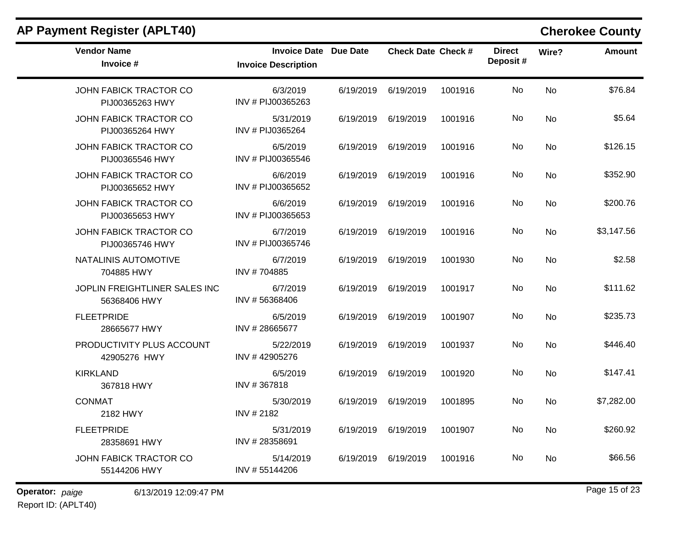| <b>AP Payment Register (APLT40)</b>              |                                                            |           |                           |         |                           |           | <b>Cherokee County</b> |
|--------------------------------------------------|------------------------------------------------------------|-----------|---------------------------|---------|---------------------------|-----------|------------------------|
| <b>Vendor Name</b><br>Invoice #                  | <b>Invoice Date Due Date</b><br><b>Invoice Description</b> |           | <b>Check Date Check #</b> |         | <b>Direct</b><br>Deposit# | Wire?     | <b>Amount</b>          |
| <b>JOHN FABICK TRACTOR CO</b><br>PIJ00365263 HWY | 6/3/2019<br>INV # PIJ00365263                              | 6/19/2019 | 6/19/2019                 | 1001916 | No                        | <b>No</b> | \$76.84                |
| <b>JOHN FABICK TRACTOR CO</b><br>PIJ00365264 HWY | 5/31/2019<br>INV # PIJ0365264                              | 6/19/2019 | 6/19/2019                 | 1001916 | No                        | No        | \$5.64                 |
| JOHN FABICK TRACTOR CO<br>PIJ00365546 HWY        | 6/5/2019<br>INV # PIJ00365546                              | 6/19/2019 | 6/19/2019                 | 1001916 | No                        | No        | \$126.15               |
| <b>JOHN FABICK TRACTOR CO</b><br>PIJ00365652 HWY | 6/6/2019<br>INV # PIJ00365652                              | 6/19/2019 | 6/19/2019                 | 1001916 | No                        | <b>No</b> | \$352.90               |
| JOHN FABICK TRACTOR CO<br>PIJ00365653 HWY        | 6/6/2019<br>INV # PIJ00365653                              | 6/19/2019 | 6/19/2019                 | 1001916 | No                        | <b>No</b> | \$200.76               |
| <b>JOHN FABICK TRACTOR CO</b><br>PIJ00365746 HWY | 6/7/2019<br>INV # PIJ00365746                              | 6/19/2019 | 6/19/2019                 | 1001916 | No                        | No        | \$3,147.56             |
| NATALINIS AUTOMOTIVE<br>704885 HWY               | 6/7/2019<br>INV #704885                                    | 6/19/2019 | 6/19/2019                 | 1001930 | No                        | No        | \$2.58                 |
| JOPLIN FREIGHTLINER SALES INC<br>56368406 HWY    | 6/7/2019<br>INV #56368406                                  | 6/19/2019 | 6/19/2019                 | 1001917 | No                        | <b>No</b> | \$111.62               |
| <b>FLEETPRIDE</b><br>28665677 HWY                | 6/5/2019<br>INV #28665677                                  | 6/19/2019 | 6/19/2019                 | 1001907 | No                        | <b>No</b> | \$235.73               |
| PRODUCTIVITY PLUS ACCOUNT<br>42905276 HWY        | 5/22/2019<br>INV #42905276                                 | 6/19/2019 | 6/19/2019                 | 1001937 | No                        | No        | \$446.40               |
| <b>KIRKLAND</b><br>367818 HWY                    | 6/5/2019<br>INV #367818                                    | 6/19/2019 | 6/19/2019                 | 1001920 | No                        | No        | \$147.41               |
| <b>CONMAT</b><br>2182 HWY                        | 5/30/2019<br>INV # 2182                                    | 6/19/2019 | 6/19/2019                 | 1001895 | No                        | No        | \$7,282.00             |
| <b>FLEETPRIDE</b><br>28358691 HWY                | 5/31/2019<br>INV #28358691                                 |           | 6/19/2019 6/19/2019       | 1001907 | No                        | No        | \$260.92               |
| <b>JOHN FABICK TRACTOR CO</b><br>55144206 HWY    | 5/14/2019<br>INV #55144206                                 | 6/19/2019 | 6/19/2019                 | 1001916 | No                        | No        | \$66.56                |

# Report ID: (APLT40)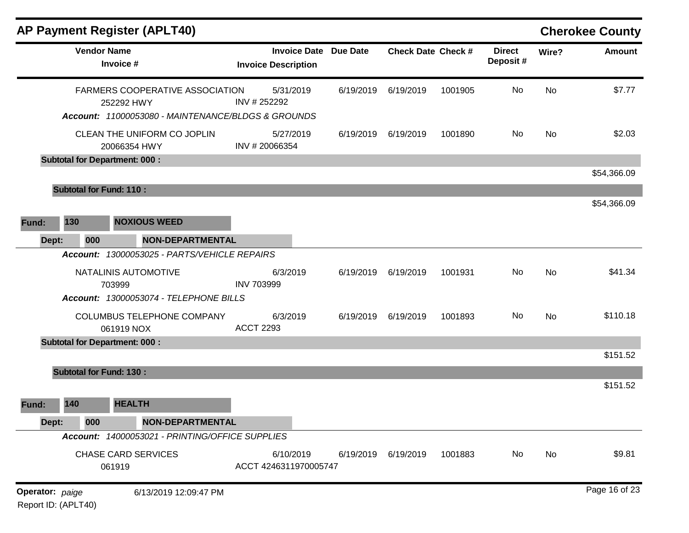|                 |                                      |                                 | <b>AP Payment Register (APLT40)</b>                                                                 |                                                   |                 |                           |         |                           |           | <b>Cherokee County</b> |
|-----------------|--------------------------------------|---------------------------------|-----------------------------------------------------------------------------------------------------|---------------------------------------------------|-----------------|---------------------------|---------|---------------------------|-----------|------------------------|
|                 |                                      | <b>Vendor Name</b><br>Invoice # |                                                                                                     | <b>Invoice Date</b><br><b>Invoice Description</b> | <b>Due Date</b> | <b>Check Date Check #</b> |         | <b>Direct</b><br>Deposit# | Wire?     | <b>Amount</b>          |
|                 |                                      |                                 | FARMERS COOPERATIVE ASSOCIATION<br>252292 HWY<br>Account: 11000053080 - MAINTENANCE/BLDGS & GROUNDS | 5/31/2019<br>INV #252292                          | 6/19/2019       | 6/19/2019                 | 1001905 | No                        | <b>No</b> | \$7.77                 |
|                 |                                      |                                 | CLEAN THE UNIFORM CO JOPLIN<br>20066354 HWY                                                         | 5/27/2019<br>INV #20066354                        | 6/19/2019       | 6/19/2019                 | 1001890 | No                        | <b>No</b> | \$2.03                 |
|                 | <b>Subtotal for Department: 000:</b> |                                 |                                                                                                     |                                                   |                 |                           |         |                           |           |                        |
|                 |                                      |                                 |                                                                                                     |                                                   |                 |                           |         |                           |           | \$54,366.09            |
|                 | <b>Subtotal for Fund: 110:</b>       |                                 |                                                                                                     |                                                   |                 |                           |         |                           |           |                        |
| Fund:           | 130                                  |                                 | <b>NOXIOUS WEED</b>                                                                                 |                                                   |                 |                           |         |                           |           | \$54,366.09            |
| Dept:           | 000                                  |                                 | <b>NON-DEPARTMENTAL</b>                                                                             |                                                   |                 |                           |         |                           |           |                        |
|                 |                                      |                                 | Account: 13000053025 - PARTS/VEHICLE REPAIRS                                                        |                                                   |                 |                           |         |                           |           |                        |
|                 |                                      | 703999                          | NATALINIS AUTOMOTIVE                                                                                | 6/3/2019<br><b>INV 703999</b>                     | 6/19/2019       | 6/19/2019                 | 1001931 | No                        | <b>No</b> | \$41.34                |
|                 |                                      |                                 | Account: 13000053074 - TELEPHONE BILLS                                                              |                                                   |                 |                           |         |                           |           |                        |
|                 |                                      |                                 | COLUMBUS TELEPHONE COMPANY<br>061919 NOX                                                            | 6/3/2019<br><b>ACCT 2293</b>                      | 6/19/2019       | 6/19/2019                 | 1001893 | No                        | <b>No</b> | \$110.18               |
|                 | <b>Subtotal for Department: 000:</b> |                                 |                                                                                                     |                                                   |                 |                           |         |                           |           |                        |
|                 |                                      |                                 |                                                                                                     |                                                   |                 |                           |         |                           |           | \$151.52               |
|                 | <b>Subtotal for Fund: 130:</b>       |                                 |                                                                                                     |                                                   |                 |                           |         |                           |           |                        |
| Fund:           | 140                                  |                                 | <b>HEALTH</b>                                                                                       |                                                   |                 |                           |         |                           |           | \$151.52               |
| Dept:           | 000                                  |                                 | <b>NON-DEPARTMENTAL</b>                                                                             |                                                   |                 |                           |         |                           |           |                        |
|                 |                                      |                                 | Account: 14000053021 - PRINTING/OFFICE SUPPLIES                                                     |                                                   |                 |                           |         |                           |           |                        |
|                 |                                      | 061919                          | <b>CHASE CARD SERVICES</b>                                                                          | 6/10/2019<br>ACCT 4246311970005747                | 6/19/2019       | 6/19/2019                 | 1001883 | No                        | No        | \$9.81                 |
| Operator: paige | Report ID: (APLT40)                  |                                 | 6/13/2019 12:09:47 PM                                                                               |                                                   |                 |                           |         |                           |           | Page 16 of 23          |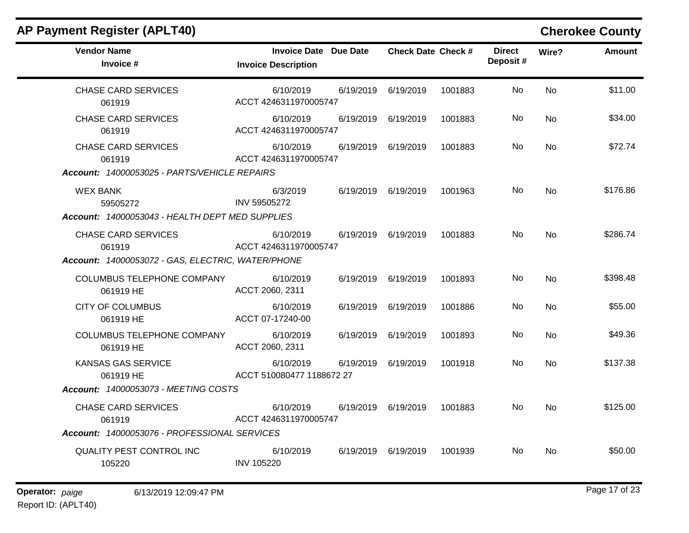|  |  |  | AP Payment Register (APLT40) |
|--|--|--|------------------------------|
|--|--|--|------------------------------|

# **Cherokee County**

| <b>Vendor Name</b><br>Invoice #                                                                                              | <b>Invoice Date Due Date</b><br><b>Invoice Description</b> |           | <b>Check Date Check #</b> |         | <b>Direct</b><br>Deposit# | Wire?     | <b>Amount</b> |
|------------------------------------------------------------------------------------------------------------------------------|------------------------------------------------------------|-----------|---------------------------|---------|---------------------------|-----------|---------------|
| <b>CHASE CARD SERVICES</b><br>061919                                                                                         | 6/10/2019<br>ACCT 4246311970005747                         | 6/19/2019 | 6/19/2019                 | 1001883 | No.                       | <b>No</b> | \$11.00       |
| <b>CHASE CARD SERVICES</b><br>061919                                                                                         | 6/10/2019<br>ACCT 4246311970005747                         | 6/19/2019 | 6/19/2019                 | 1001883 | No                        | <b>No</b> | \$34.00       |
| <b>CHASE CARD SERVICES</b><br>061919<br>Account: 14000053025 - PARTS/VEHICLE REPAIRS                                         | 6/10/2019<br>ACCT 4246311970005747                         | 6/19/2019 | 6/19/2019                 | 1001883 | No.                       | <b>No</b> | \$72.74       |
| <b>WEX BANK</b><br>59505272<br>Account: 14000053043 - HEALTH DEPT MED SUPPLIES                                               | 6/3/2019<br>INV 59505272                                   |           | 6/19/2019 6/19/2019       | 1001963 | No.                       | <b>No</b> | \$176.86      |
| <b>CHASE CARD SERVICES</b><br>061919<br>Account: 14000053072 - GAS, ELECTRIC, WATER/PHONE                                    | 6/10/2019<br>ACCT 4246311970005747                         |           | 6/19/2019 6/19/2019       | 1001883 | No.                       | No.       | \$286.74      |
| <b>COLUMBUS TELEPHONE COMPANY</b><br>061919 HE                                                                               | 6/10/2019<br>ACCT 2060, 2311                               | 6/19/2019 | 6/19/2019                 | 1001893 | No.                       | <b>No</b> | \$398.48      |
| <b>CITY OF COLUMBUS</b><br>061919 HE                                                                                         | 6/10/2019<br>ACCT 07-17240-00                              | 6/19/2019 | 6/19/2019                 | 1001886 | No.                       | <b>No</b> | \$55.00       |
| COLUMBUS TELEPHONE COMPANY<br>061919 HE                                                                                      | 6/10/2019<br>ACCT 2060, 2311                               | 6/19/2019 | 6/19/2019                 | 1001893 | No.                       | <b>No</b> | \$49.36       |
| <b>KANSAS GAS SERVICE</b><br>061919 HE                                                                                       | 6/10/2019<br>ACCT 510080477 1188672 27                     | 6/19/2019 | 6/19/2019                 | 1001918 | No.                       | <b>No</b> | \$137.38      |
| Account: 14000053073 - MEETING COSTS<br><b>CHASE CARD SERVICES</b><br>061919<br>Account: 14000053076 - PROFESSIONAL SERVICES | 6/10/2019<br>ACCT 4246311970005747                         | 6/19/2019 | 6/19/2019                 | 1001883 | No.                       | <b>No</b> | \$125.00      |
| <b>QUALITY PEST CONTROL INC</b><br>105220                                                                                    | 6/10/2019<br><b>INV 105220</b>                             | 6/19/2019 | 6/19/2019                 | 1001939 | No.                       | <b>No</b> | \$50.00       |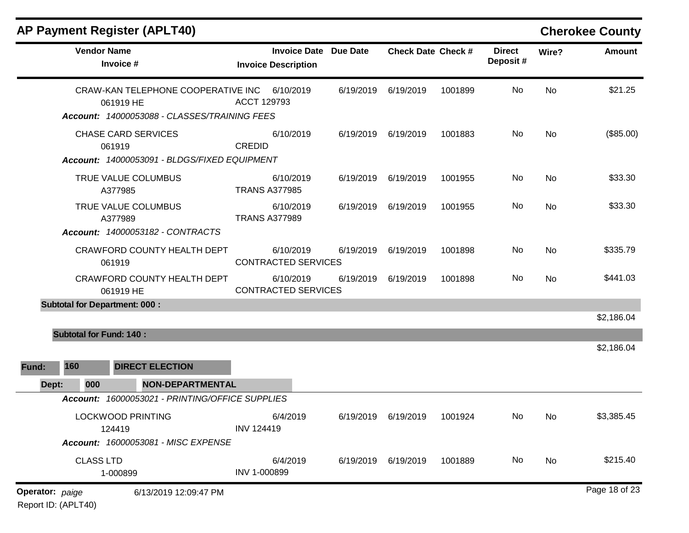|                 |                  | <b>AP Payment Register (APLT40)</b>                                                             |                                                            |           |                           |         |                           |           | <b>Cherokee County</b> |
|-----------------|------------------|-------------------------------------------------------------------------------------------------|------------------------------------------------------------|-----------|---------------------------|---------|---------------------------|-----------|------------------------|
|                 |                  | <b>Vendor Name</b><br>Invoice #                                                                 | <b>Invoice Date Due Date</b><br><b>Invoice Description</b> |           | <b>Check Date Check #</b> |         | <b>Direct</b><br>Deposit# | Wire?     | Amount                 |
|                 |                  | CRAW-KAN TELEPHONE COOPERATIVE INC<br>061919 HE<br>Account: 14000053088 - CLASSES/TRAINING FEES | 6/10/2019<br>ACCT 129793                                   | 6/19/2019 | 6/19/2019                 | 1001899 | No                        | <b>No</b> | \$21.25                |
|                 |                  | <b>CHASE CARD SERVICES</b><br>061919<br>Account: 14000053091 - BLDGS/FIXED EQUIPMENT            | 6/10/2019<br><b>CREDID</b>                                 | 6/19/2019 | 6/19/2019                 | 1001883 | No                        | <b>No</b> | (\$85.00)              |
|                 |                  | TRUE VALUE COLUMBUS<br>A377985                                                                  | 6/10/2019<br><b>TRANS A377985</b>                          | 6/19/2019 | 6/19/2019                 | 1001955 | No                        | No        | \$33.30                |
|                 |                  | TRUE VALUE COLUMBUS<br>A377989<br><b>Account: 14000053182 - CONTRACTS</b>                       | 6/10/2019<br><b>TRANS A377989</b>                          | 6/19/2019 | 6/19/2019                 | 1001955 | No                        | No        | \$33.30                |
|                 |                  | CRAWFORD COUNTY HEALTH DEPT<br>061919                                                           | 6/10/2019<br><b>CONTRACTED SERVICES</b>                    | 6/19/2019 | 6/19/2019                 | 1001898 | No                        | No        | \$335.79               |
|                 |                  | CRAWFORD COUNTY HEALTH DEPT<br>061919 HE                                                        | 6/10/2019<br><b>CONTRACTED SERVICES</b>                    | 6/19/2019 | 6/19/2019                 | 1001898 | No                        | No        | \$441.03               |
|                 |                  | <b>Subtotal for Department: 000:</b>                                                            |                                                            |           |                           |         |                           |           |                        |
|                 |                  |                                                                                                 |                                                            |           |                           |         |                           |           | \$2,186.04             |
| Fund:           | 160              | <b>Subtotal for Fund: 140:</b><br><b>DIRECT ELECTION</b>                                        |                                                            |           |                           |         |                           |           | \$2,186.04             |
| Dept:           | 000              | <b>NON-DEPARTMENTAL</b>                                                                         |                                                            |           |                           |         |                           |           |                        |
|                 | <b>Account:</b>  | 16000053021 - PRINTING/OFFICE SUPPLIES                                                          |                                                            |           |                           |         |                           |           |                        |
|                 |                  | <b>LOCKWOOD PRINTING</b><br>124419<br>Account: 16000053081 - MISC EXPENSE                       | 6/4/2019<br><b>INV 124419</b>                              |           | 6/19/2019 6/19/2019       | 1001924 | No                        | No        | \$3,385.45             |
|                 | <b>CLASS LTD</b> | 1-000899                                                                                        | 6/4/2019<br>INV 1-000899                                   |           | 6/19/2019 6/19/2019       | 1001889 | No                        | No        | \$215.40               |
| Operator: paige |                  | 6/13/2019 12:09:47 PM                                                                           |                                                            |           |                           |         |                           |           | Page 18 of 23          |

Report ID: (APLT40)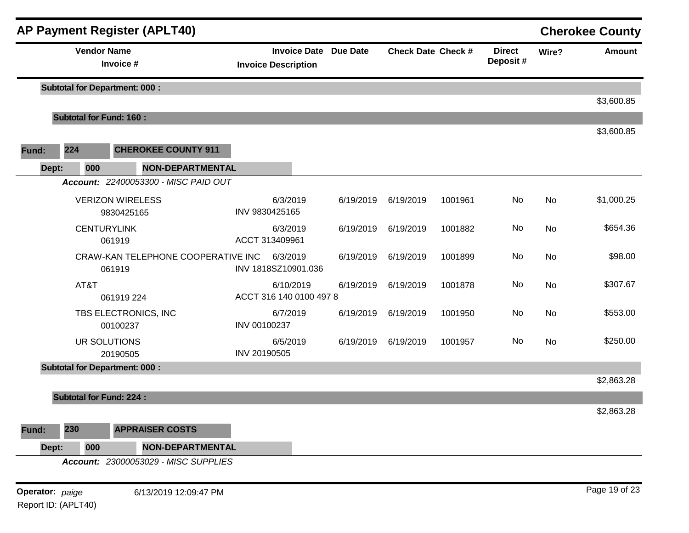|       |                                | <b>AP Payment Register (APLT40)</b>          |                                                            |           |                           |         |                           |       | <b>Cherokee County</b> |
|-------|--------------------------------|----------------------------------------------|------------------------------------------------------------|-----------|---------------------------|---------|---------------------------|-------|------------------------|
|       |                                | <b>Vendor Name</b><br>Invoice #              | <b>Invoice Date Due Date</b><br><b>Invoice Description</b> |           | <b>Check Date Check #</b> |         | <b>Direct</b><br>Deposit# | Wire? | <b>Amount</b>          |
|       |                                | <b>Subtotal for Department: 000:</b>         |                                                            |           |                           |         |                           |       | \$3,600.85             |
|       | <b>Subtotal for Fund: 160:</b> |                                              |                                                            |           |                           |         |                           |       |                        |
| Fund: | 224                            | <b>CHEROKEE COUNTY 911</b>                   |                                                            |           |                           |         |                           |       | \$3,600.85             |
|       | 000<br>Dept:                   | NON-DEPARTMENTAL                             |                                                            |           |                           |         |                           |       |                        |
|       |                                | Account: 22400053300 - MISC PAID OUT         |                                                            |           |                           |         |                           |       |                        |
|       |                                | <b>VERIZON WIRELESS</b><br>9830425165        | 6/3/2019<br>INV 9830425165                                 | 6/19/2019 | 6/19/2019                 | 1001961 | No                        | No    | \$1,000.25             |
|       |                                | <b>CENTURYLINK</b><br>061919                 | 6/3/2019<br>ACCT 313409961                                 | 6/19/2019 | 6/19/2019                 | 1001882 | No                        | No    | \$654.36               |
|       |                                | CRAW-KAN TELEPHONE COOPERATIVE INC<br>061919 | 6/3/2019<br>INV 1818SZ10901.036                            | 6/19/2019 | 6/19/2019                 | 1001899 | No                        | No    | \$98.00                |
|       | AT&T                           | 061919 224                                   | 6/10/2019<br>ACCT 316 140 0100 497 8                       | 6/19/2019 | 6/19/2019                 | 1001878 | No                        | No    | \$307.67               |
|       |                                | TBS ELECTRONICS, INC<br>00100237             | 6/7/2019<br>INV 00100237                                   | 6/19/2019 | 6/19/2019                 | 1001950 | No                        | No    | \$553.00               |
|       |                                | UR SOLUTIONS<br>20190505                     | 6/5/2019<br>INV 20190505                                   | 6/19/2019 | 6/19/2019                 | 1001957 | No                        | No    | \$250.00               |
|       |                                | <b>Subtotal for Department: 000:</b>         |                                                            |           |                           |         |                           |       |                        |
|       |                                |                                              |                                                            |           |                           |         |                           |       | \$2,863.28             |
|       | <b>Subtotal for Fund: 224:</b> |                                              |                                                            |           |                           |         |                           |       | \$2,863.28             |
| Fund: | 230                            | <b>APPRAISER COSTS</b>                       |                                                            |           |                           |         |                           |       |                        |
|       | Dept:<br>000                   | <b>NON-DEPARTMENTAL</b>                      |                                                            |           |                           |         |                           |       |                        |
|       |                                | Account: 23000053029 - MISC SUPPLIES         |                                                            |           |                           |         |                           |       |                        |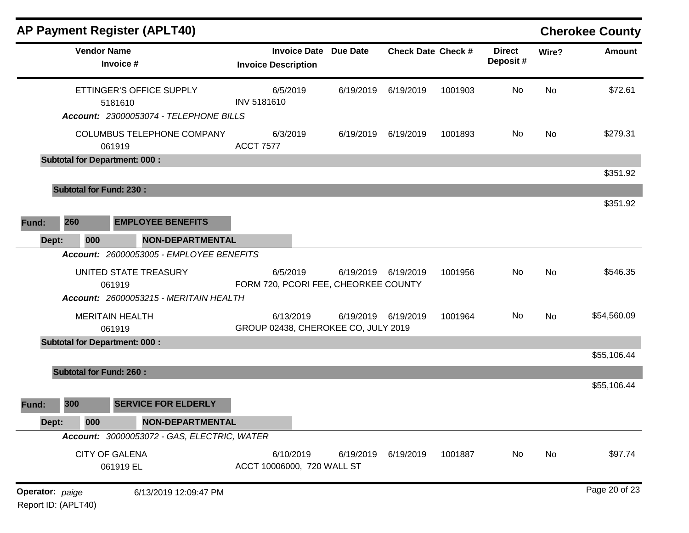|                                        |     |                                  | AP Payment Register (APLT40)                                                       |                                |                                         |                           |         |                           |           | <b>Cherokee County</b> |
|----------------------------------------|-----|----------------------------------|------------------------------------------------------------------------------------|--------------------------------|-----------------------------------------|---------------------------|---------|---------------------------|-----------|------------------------|
|                                        |     | <b>Vendor Name</b>               | Invoice #                                                                          | <b>Invoice Description</b>     | <b>Invoice Date Due Date</b>            | <b>Check Date Check #</b> |         | <b>Direct</b><br>Deposit# | Wire?     | <b>Amount</b>          |
|                                        |     |                                  | ETTINGER'S OFFICE SUPPLY<br>5181610                                                | 6/5/2019<br><b>INV 5181610</b> | 6/19/2019                               | 6/19/2019                 | 1001903 | No                        | <b>No</b> | \$72.61                |
|                                        |     |                                  | <b>Account: 23000053074 - TELEPHONE BILLS</b><br><b>COLUMBUS TELEPHONE COMPANY</b> | 6/3/2019<br><b>ACCT 7577</b>   | 6/19/2019                               | 6/19/2019                 | 1001893 | No                        | No        | \$279.31               |
|                                        |     | 061919                           | <b>Subtotal for Department: 000:</b>                                               |                                |                                         |                           |         |                           |           |                        |
|                                        |     |                                  |                                                                                    |                                |                                         |                           |         |                           |           | \$351.92               |
|                                        |     | <b>Subtotal for Fund: 230:</b>   |                                                                                    |                                |                                         |                           |         |                           |           |                        |
| Fund:                                  | 260 |                                  | <b>EMPLOYEE BENEFITS</b>                                                           |                                |                                         |                           |         |                           |           | \$351.92               |
| Dept:                                  |     | 000                              | <b>NON-DEPARTMENTAL</b>                                                            |                                |                                         |                           |         |                           |           |                        |
|                                        |     |                                  | Account: 26000053005 - EMPLOYEE BENEFITS                                           |                                |                                         |                           |         |                           |           |                        |
|                                        |     | 061919                           | UNITED STATE TREASURY                                                              | 6/5/2019                       | FORM 720, PCORI FEE, CHEORKEE COUNTY    | 6/19/2019 6/19/2019       | 1001956 | No                        | No        | \$546.35               |
|                                        |     |                                  | Account: 26000053215 - MERITAIN HEALTH                                             |                                |                                         |                           |         |                           |           |                        |
|                                        |     | <b>MERITAIN HEALTH</b><br>061919 |                                                                                    | 6/13/2019                      | GROUP 02438, CHEROKEE CO, JULY 2019     | 6/19/2019 6/19/2019       | 1001964 | No                        | No        | \$54,560.09            |
|                                        |     |                                  | <b>Subtotal for Department: 000:</b>                                               |                                |                                         |                           |         |                           |           |                        |
|                                        |     |                                  |                                                                                    |                                |                                         |                           |         |                           |           | \$55,106.44            |
|                                        |     | <b>Subtotal for Fund: 260:</b>   |                                                                                    |                                |                                         |                           |         |                           |           | \$55,106.44            |
| Fund:                                  | 300 |                                  | <b>SERVICE FOR ELDERLY</b>                                                         |                                |                                         |                           |         |                           |           |                        |
| Dept:                                  |     | 000                              | <b>NON-DEPARTMENTAL</b>                                                            |                                |                                         |                           |         |                           |           |                        |
|                                        |     |                                  | Account: 30000053072 - GAS, ELECTRIC, WATER                                        |                                |                                         |                           |         |                           |           |                        |
|                                        |     | <b>CITY OF GALENA</b>            | 061919 EL                                                                          | 6/10/2019                      | 6/19/2019<br>ACCT 10006000, 720 WALL ST | 6/19/2019                 | 1001887 | No                        | No        | \$97.74                |
| Operator: paige<br>Report ID: (APLT40) |     |                                  | 6/13/2019 12:09:47 PM                                                              |                                |                                         |                           |         |                           |           | Page 20 of 23          |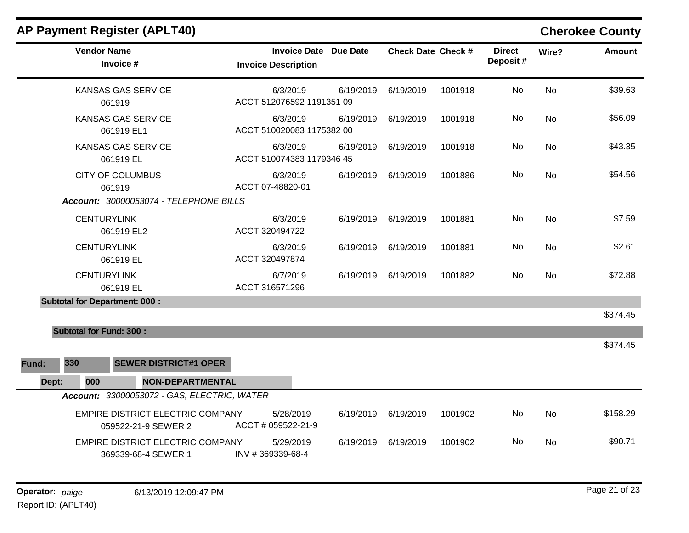|  |  |  | AP Payment Register (APLT40) |
|--|--|--|------------------------------|
|--|--|--|------------------------------|

# **Cherokee County**

|       | <b>Vendor Name</b><br>Invoice #         |                                                                | <b>Invoice Description</b>            | <b>Invoice Date Due Date</b> | <b>Check Date Check #</b> |         | <b>Direct</b><br>Deposit# | Wire?     | <b>Amount</b> |
|-------|-----------------------------------------|----------------------------------------------------------------|---------------------------------------|------------------------------|---------------------------|---------|---------------------------|-----------|---------------|
|       | <b>KANSAS GAS SERVICE</b><br>061919     |                                                                | 6/3/2019<br>ACCT 512076592 1191351 09 | 6/19/2019                    | 6/19/2019                 | 1001918 | No                        | No        | \$39.63       |
|       | <b>KANSAS GAS SERVICE</b><br>061919 EL1 |                                                                | 6/3/2019<br>ACCT 510020083 1175382 00 | 6/19/2019                    | 6/19/2019                 | 1001918 | No                        | No        | \$56.09       |
|       | <b>KANSAS GAS SERVICE</b><br>061919 EL  |                                                                | 6/3/2019<br>ACCT 510074383 1179346 45 | 6/19/2019                    | 6/19/2019                 | 1001918 | No                        | No        | \$43.35       |
|       | <b>CITY OF COLUMBUS</b><br>061919       |                                                                | 6/3/2019<br>ACCT 07-48820-01          | 6/19/2019                    | 6/19/2019                 | 1001886 | No                        | No        | \$54.56       |
|       |                                         | Account: 30000053074 - TELEPHONE BILLS                         |                                       |                              |                           |         |                           |           |               |
|       | <b>CENTURYLINK</b><br>061919 EL2        |                                                                | 6/3/2019<br>ACCT 320494722            | 6/19/2019                    | 6/19/2019                 | 1001881 | No                        | No        | \$7.59        |
|       | <b>CENTURYLINK</b><br>061919 EL         |                                                                | 6/3/2019<br>ACCT 320497874            | 6/19/2019                    | 6/19/2019                 | 1001881 | No                        | <b>No</b> | \$2.61        |
|       | <b>CENTURYLINK</b><br>061919 EL         |                                                                | 6/7/2019<br>ACCT 316571296            | 6/19/2019                    | 6/19/2019                 | 1001882 | No.                       | No        | \$72.88       |
|       | <b>Subtotal for Department: 000:</b>    |                                                                |                                       |                              |                           |         |                           |           |               |
|       |                                         |                                                                |                                       |                              |                           |         |                           |           | \$374.45      |
|       | <b>Subtotal for Fund: 300:</b>          |                                                                |                                       |                              |                           |         |                           |           |               |
|       |                                         |                                                                |                                       |                              |                           |         |                           |           | \$374.45      |
| Fund: | 330                                     | <b>SEWER DISTRICT#1 OPER</b>                                   |                                       |                              |                           |         |                           |           |               |
| Dept: | 000                                     | <b>NON-DEPARTMENTAL</b>                                        |                                       |                              |                           |         |                           |           |               |
|       |                                         | Account: 33000053072 - GAS, ELECTRIC, WATER                    |                                       |                              |                           |         |                           |           |               |
|       |                                         | <b>EMPIRE DISTRICT ELECTRIC COMPANY</b><br>059522-21-9 SEWER 2 | 5/28/2019<br>ACCT # 059522-21-9       | 6/19/2019                    | 6/19/2019                 | 1001902 | No                        | <b>No</b> | \$158.29      |
|       |                                         | EMPIRE DISTRICT ELECTRIC COMPANY<br>369339-68-4 SEWER 1        | 5/29/2019<br>INV #369339-68-4         | 6/19/2019                    | 6/19/2019                 | 1001902 | No.                       | No        | \$90.71       |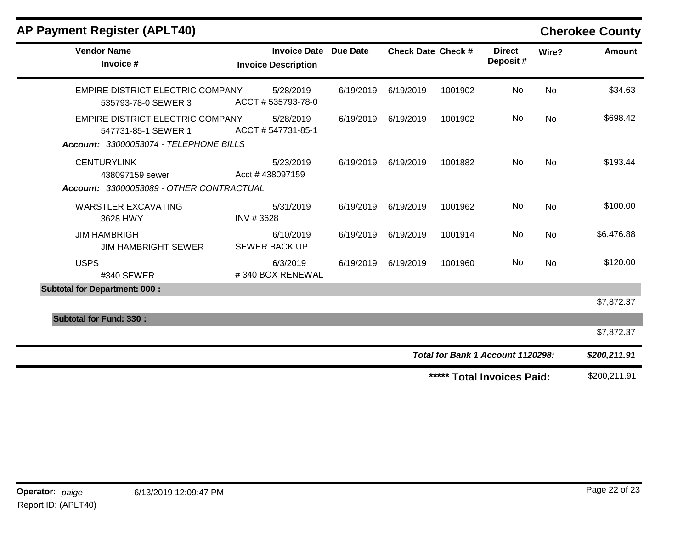| <b>Vendor Name</b><br>Invoice #                                                                                             | <b>Invoice Date Due Date</b><br><b>Invoice Description</b> |           | <b>Check Date Check #</b> |         | <b>Direct</b><br>Deposit#         | Wire?     | <b>Amount</b> |
|-----------------------------------------------------------------------------------------------------------------------------|------------------------------------------------------------|-----------|---------------------------|---------|-----------------------------------|-----------|---------------|
| EMPIRE DISTRICT ELECTRIC COMPANY<br>535793-78-0 SEWER 3                                                                     | 5/28/2019<br>ACCT #535793-78-0                             | 6/19/2019 | 6/19/2019                 | 1001902 | No                                | <b>No</b> | \$34.63       |
| EMPIRE DISTRICT ELECTRIC COMPANY<br>547731-85-1 SEWER 1                                                                     | 5/28/2019<br>ACCT # 547731-85-1                            | 6/19/2019 | 6/19/2019                 | 1001902 | No                                | No        | \$698.42      |
| Account: 33000053074 - TELEPHONE BILLS<br><b>CENTURYLINK</b><br>438097159 sewer<br>Account: 33000053089 - OTHER CONTRACTUAL | 5/23/2019<br>Acct #438097159                               | 6/19/2019 | 6/19/2019                 | 1001882 | No.                               | <b>No</b> | \$193.44      |
| <b>WARSTLER EXCAVATING</b><br>3628 HWY                                                                                      | 5/31/2019<br>INV #3628                                     | 6/19/2019 | 6/19/2019                 | 1001962 | No                                | <b>No</b> | \$100.00      |
| <b>JIM HAMBRIGHT</b><br><b>JIM HAMBRIGHT SEWER</b>                                                                          | 6/10/2019<br><b>SEWER BACK UP</b>                          | 6/19/2019 | 6/19/2019                 | 1001914 | No                                | <b>No</b> | \$6,476.88    |
| <b>USPS</b><br>#340 SEWER                                                                                                   | 6/3/2019<br>#340 BOX RENEWAL                               | 6/19/2019 | 6/19/2019                 | 1001960 | <b>No</b>                         | <b>No</b> | \$120.00      |
| <b>Subtotal for Department: 000:</b>                                                                                        |                                                            |           |                           |         |                                   |           | \$7,872.37    |
| <b>Subtotal for Fund: 330:</b>                                                                                              |                                                            |           |                           |         |                                   |           |               |
|                                                                                                                             |                                                            |           |                           |         |                                   |           | \$7,872.37    |
|                                                                                                                             |                                                            |           |                           |         | Total for Bank 1 Account 1120298: |           | \$200,211.91  |
|                                                                                                                             |                                                            |           |                           |         | ***** Total Invoices Paid:        |           | \$200,211.91  |